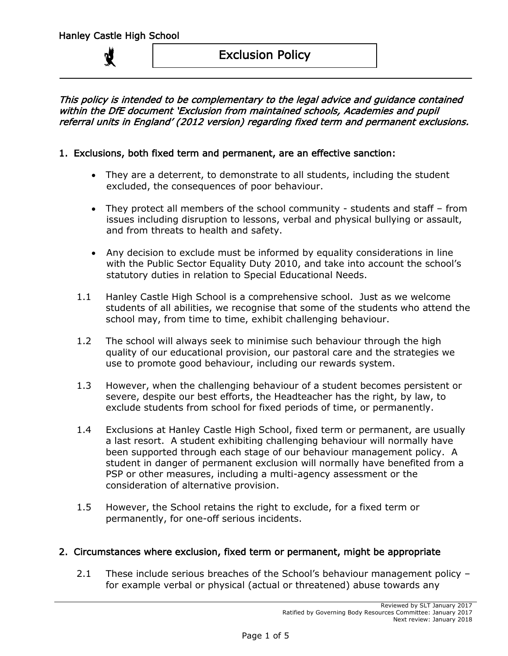## This policy is intended to be complementary to the legal advice and guidance contained within the DfE document 'Exclusion from maintained schools, Academies and pupil referral units in England' (2012 version) regarding fixed term and permanent exclusions.

## 1. Exclusions, both fixed term and permanent, are an effective sanction:

- They are a deterrent, to demonstrate to all students, including the student excluded, the consequences of poor behaviour.
- They protect all members of the school community students and staff from issues including disruption to lessons, verbal and physical bullying or assault, and from threats to health and safety.
- Any decision to exclude must be informed by equality considerations in line with the Public Sector Equality Duty 2010, and take into account the school's statutory duties in relation to Special Educational Needs.
- 1.1 Hanley Castle High School is a comprehensive school. Just as we welcome students of all abilities, we recognise that some of the students who attend the school may, from time to time, exhibit challenging behaviour.
- 1.2 The school will always seek to minimise such behaviour through the high quality of our educational provision, our pastoral care and the strategies we use to promote good behaviour, including our rewards system.
- 1.3 However, when the challenging behaviour of a student becomes persistent or severe, despite our best efforts, the Headteacher has the right, by law, to exclude students from school for fixed periods of time, or permanently.
- 1.4 Exclusions at Hanley Castle High School, fixed term or permanent, are usually a last resort. A student exhibiting challenging behaviour will normally have been supported through each stage of our behaviour management policy. A student in danger of permanent exclusion will normally have benefited from a PSP or other measures, including a multi-agency assessment or the consideration of alternative provision.
- 1.5 However, the School retains the right to exclude, for a fixed term or permanently, for one-off serious incidents.

## 2. Circumstances where exclusion, fixed term or permanent, might be appropriate

2.1 These include serious breaches of the School's behaviour management policy for example verbal or physical (actual or threatened) abuse towards any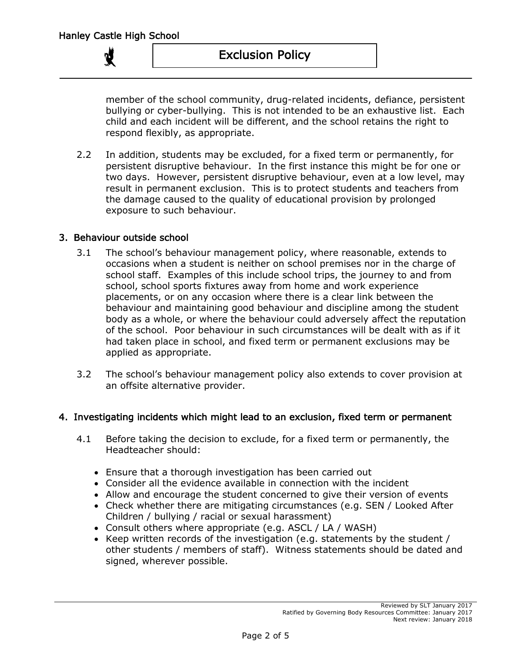member of the school community, drug-related incidents, defiance, persistent bullying or cyber-bullying. This is not intended to be an exhaustive list. Each child and each incident will be different, and the school retains the right to respond flexibly, as appropriate.

2.2 In addition, students may be excluded, for a fixed term or permanently, for persistent disruptive behaviour. In the first instance this might be for one or two days. However, persistent disruptive behaviour, even at a low level, may result in permanent exclusion. This is to protect students and teachers from the damage caused to the quality of educational provision by prolonged exposure to such behaviour.

## 3. Behaviour outside school

- 3.1 The school's behaviour management policy, where reasonable, extends to occasions when a student is neither on school premises nor in the charge of school staff. Examples of this include school trips, the journey to and from school, school sports fixtures away from home and work experience placements, or on any occasion where there is a clear link between the behaviour and maintaining good behaviour and discipline among the student body as a whole, or where the behaviour could adversely affect the reputation of the school. Poor behaviour in such circumstances will be dealt with as if it had taken place in school, and fixed term or permanent exclusions may be applied as appropriate.
- 3.2 The school's behaviour management policy also extends to cover provision at an offsite alternative provider.

## 4. Investigating incidents which might lead to an exclusion, fixed term or permanent

- 4.1 Before taking the decision to exclude, for a fixed term or permanently, the Headteacher should:
	- Ensure that a thorough investigation has been carried out
	- Consider all the evidence available in connection with the incident
	- Allow and encourage the student concerned to give their version of events
	- Check whether there are mitigating circumstances (e.g. SEN / Looked After Children / bullying / racial or sexual harassment)
	- Consult others where appropriate (e.g. ASCL / LA / WASH)
	- Keep written records of the investigation (e.g. statements by the student / other students / members of staff). Witness statements should be dated and signed, wherever possible.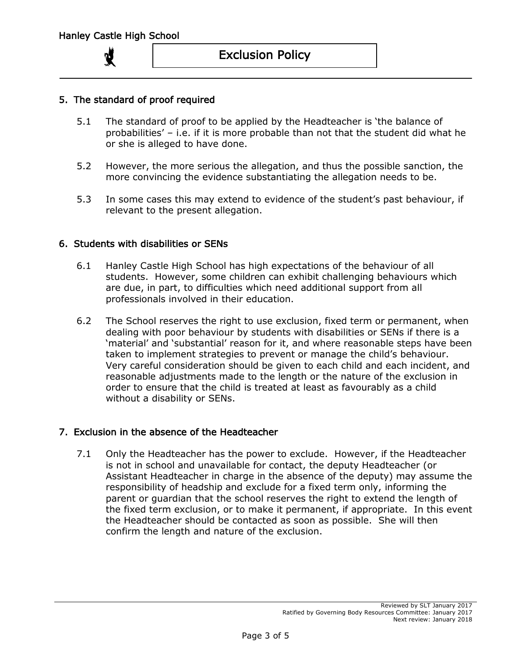

# Exclusion Policy

## 5. The standard of proof required

- 5.1 The standard of proof to be applied by the Headteacher is 'the balance of probabilities' – i.e. if it is more probable than not that the student did what he or she is alleged to have done.
- 5.2 However, the more serious the allegation, and thus the possible sanction, the more convincing the evidence substantiating the allegation needs to be.
- 5.3 In some cases this may extend to evidence of the student's past behaviour, if relevant to the present allegation.

#### 6. Students with disabilities or SENs

- 6.1 Hanley Castle High School has high expectations of the behaviour of all students. However, some children can exhibit challenging behaviours which are due, in part, to difficulties which need additional support from all professionals involved in their education.
- 6.2 The School reserves the right to use exclusion, fixed term or permanent, when dealing with poor behaviour by students with disabilities or SENs if there is a 'material' and 'substantial' reason for it, and where reasonable steps have been taken to implement strategies to prevent or manage the child's behaviour. Very careful consideration should be given to each child and each incident, and reasonable adjustments made to the length or the nature of the exclusion in order to ensure that the child is treated at least as favourably as a child without a disability or SENs.

#### 7. Exclusion in the absence of the Headteacher

7.1 Only the Headteacher has the power to exclude. However, if the Headteacher is not in school and unavailable for contact, the deputy Headteacher (or Assistant Headteacher in charge in the absence of the deputy) may assume the responsibility of headship and exclude for a fixed term only, informing the parent or guardian that the school reserves the right to extend the length of the fixed term exclusion, or to make it permanent, if appropriate. In this event the Headteacher should be contacted as soon as possible. She will then confirm the length and nature of the exclusion.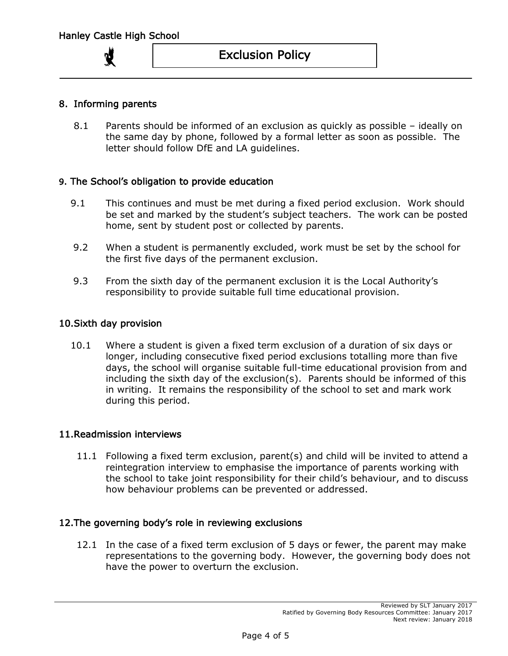## 8. Informing parents

8.1 Parents should be informed of an exclusion as quickly as possible – ideally on the same day by phone, followed by a formal letter as soon as possible. The letter should follow DfE and LA guidelines.

#### 9. The School's obligation to provide education

- 9.1 This continues and must be met during a fixed period exclusion. Work should be set and marked by the student's subject teachers. The work can be posted home, sent by student post or collected by parents.
- 9.2 When a student is permanently excluded, work must be set by the school for the first five days of the permanent exclusion.
- 9.3 From the sixth day of the permanent exclusion it is the Local Authority's responsibility to provide suitable full time educational provision.

#### 10.Sixth day provision

10.1 Where a student is given a fixed term exclusion of a duration of six days or longer, including consecutive fixed period exclusions totalling more than five days, the school will organise suitable full-time educational provision from and including the sixth day of the exclusion(s). Parents should be informed of this in writing. It remains the responsibility of the school to set and mark work during this period.

#### 11.Readmission interviews

11.1 Following a fixed term exclusion, parent(s) and child will be invited to attend a reintegration interview to emphasise the importance of parents working with the school to take joint responsibility for their child's behaviour, and to discuss how behaviour problems can be prevented or addressed.

#### 12.The governing body's role in reviewing exclusions

12.1 In the case of a fixed term exclusion of 5 days or fewer, the parent may make representations to the governing body. However, the governing body does not have the power to overturn the exclusion.